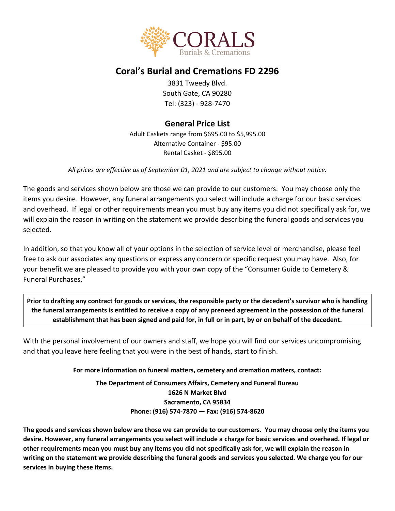

# **Coral's Burial and Cremations FD 2296**

3831 Tweedy Blvd. South Gate, CA 90280 Tel: (323) - 928-7470

### **General Price List**

Adult Caskets range from \$695.00 to \$5,995.00 Alternative Container - \$95.00 Rental Casket - \$895.00

*All prices are effective as of September 01, 2021 and are subject to change without notice.*

The goods and services shown below are those we can provide to our customers. You may choose only the items you desire. However, any funeral arrangements you select will include a charge for our basic services and overhead. If legal or other requirements mean you must buy any items you did not specifically ask for, we will explain the reason in writing on the statement we provide describing the funeral goods and services you selected.

In addition, so that you know all of your options in the selection of service level or merchandise, please feel free to ask our associates any questions or express any concern or specific request you may have. Also, for your benefit we are pleased to provide you with your own copy of the "Consumer Guide to Cemetery & Funeral Purchases."

**Prior to drafting any contract for goods or services, the responsible party or the decedent's survivor who is handling the funeral arrangements is entitled to receive a copy of any preneed agreement in the possession of the funeral establishment that has been signed and paid for, in full or in part, by or on behalf of the decedent.**

With the personal involvement of our owners and staff, we hope you will find our services uncompromising and that you leave here feeling that you were in the best of hands, start to finish.

#### **For more information on funeral matters, cemetery and cremation matters, contact:**

**The Department of Consumers Affairs, Cemetery and Funeral Bureau 1626 N Market Blvd Sacramento, CA 95834 Phone: (916) 574-7870 — Fax: (916) 574-8620**

**The goods and services shown below are those we can provide to our customers. You may choose only the items you desire. However, any funeral arrangements you select will include a charge for basic services and overhead. If legal or other requirements mean you must buy any items you did not specifically ask for, we will explain the reason in writing on the statement we provide describing the funeral goods and services you selected. We charge you for our services in buying these items.**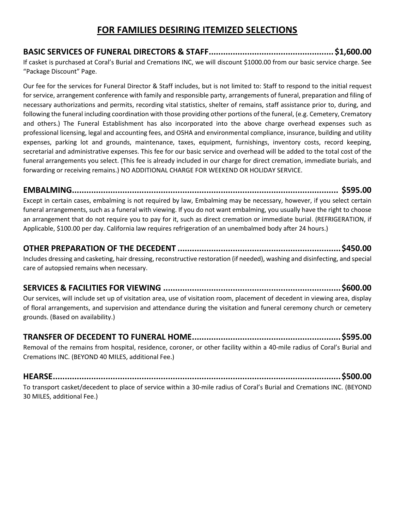# **FOR FAMILIES DESIRING ITEMIZED SELECTIONS**

**BASIC SERVICES OF FUNERAL DIRECTORS & STAFF.................................................... \$1,600.00** If casket is purchased at Coral's Burial and Cremations INC, we will discount \$1000.00 from our basic service charge. See "Package Discount" Page.

Our fee for the services for Funeral Director & Staff includes, but is not limited to: Staff to respond to the initial request for service, arrangement conference with family and responsible party, arrangements of funeral, preparation and filing of necessary authorizations and permits, recording vital statistics, shelter of remains, staff assistance prior to, during, and following the funeral including coordination with those providing other portions of the funeral, (e.g. Cemetery, Crematory and others.) The Funeral Establishment has also incorporated into the above charge overhead expenses such as professional licensing, legal and accounting fees, and OSHA and environmental compliance, insurance, building and utility expenses, parking lot and grounds, maintenance, taxes, equipment, furnishings, inventory costs, record keeping, secretarial and administrative expenses. This fee for our basic service and overhead will be added to the total cost of the funeral arrangements you select. (This fee is already included in our charge for direct cremation, immediate burials, and forwarding or receiving remains.) NO ADDITIONAL CHARGE FOR WEEKEND OR HOLIDAY SERVICE.

**EMBALMING............................................................................................................... \$595.00** Except in certain cases, embalming is not required by law, Embalming may be necessary, however, if you select certain funeral arrangements, such as a funeral with viewing. If you do not want embalming, you usually have the right to choose an arrangement that do not require you to pay for it, such as direct cremation or immediate burial. (REFRIGERATION, if Applicable, \$100.00 per day. California law requires refrigeration of an unembalmed body after 24 hours.)

## **OTHER PREPARATION OF THE DECEDENT ....................................................................\$450.00**

Includes dressing and casketing, hair dressing, reconstructive restoration (if needed), washing and disinfecting, and special care of autopsied remains when necessary.

# **SERVICES & FACILITIES FOR VIEWING ..........................................................................\$600.00**

Our services, will include set up of visitation area, use of visitation room, placement of decedent in viewing area, display of floral arrangements, and supervision and attendance during the visitation and funeral ceremony church or cemetery grounds. (Based on availability.)

# **TRANSFER OF DECEDENT TO FUNERAL HOME..............................................................\$595.00**

Removal of the remains from hospital, residence, coroner, or other facility within a 40-mile radius of Coral's Burial and Cremations INC. (BEYOND 40 MILES, additional Fee.)

**HEARSE........................................................................................................................\$500.00** To transport casket/decedent to place of service within a 30-mile radius of Coral's Burial and Cremations INC. (BEYOND 30 MILES, additional Fee.)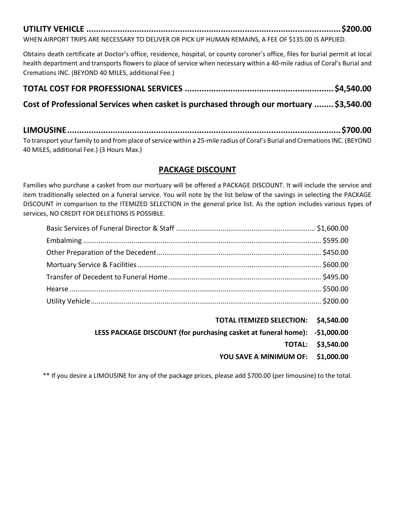# **UTILITY VEHICLE ..........................................................................................................\$200.00**

WHEN AIRPORT TRIPS ARE NECESSARY TO DELIVER OR PICK UP HUMAN REMAINS, A FEE OF \$135.00 IS APPLIED.

Obtains death certificate at Doctor's office, residence, hospital, or county coroner's office, files for burial permit at local health department and transports flowers to place of service when necessary within a 40-mile radius of Coral's Burial and Cremations INC. (BEYOND 40 MILES, additional Fee.)

### **TOTAL COST FOR PROFESSIONAL SERVICES .............................................................. \$4,540.00**

### **Cost of Professional Services when casket is purchased through our mortuary ........ \$3,540.00**

**LIMOUSINE..................................................................................................................\$700.00** To transport your family to and from place of service within a 25-mile radius of Coral's Burial and Cremations INC. (BEYOND 40 MILES, additional Fee.) (3 Hours Max.)

#### **PACKAGE DISCOUNT**

Families who purchase a casket from our mortuary will be offered a PACKAGE DISCOUNT. It will include the service and item traditionally selected on a funeral service. You will note by the list below of the savings in selecting the PACKAGE DISCOUNT in comparison to the ITEMIZED SELECTION in the general price list. As the option includes various types of services, NO CREDIT FOR DELETIONS IS POSSIBLE.

- **TOTAL ITEMIZED SELECTION: \$4,540.00**
- **LESS PACKAGE DISCOUNT (for purchasing casket at funeral home): -\$1,000.00**
	- **TOTAL: \$3,540.00**
	- **YOU SAVE A MINIMUM OF: \$1,000.00**

\*\* If you desire a LIMOUSINE for any of the package prices, please add \$700.00 (per limousine) to the total.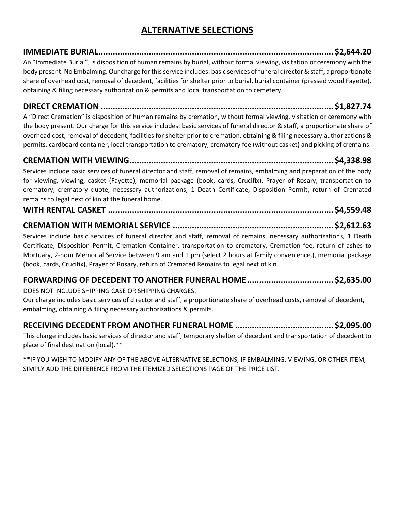# **ALTERNATIVE SELECTIONS**

**IMMEDIATE BURIAL.................................................................................................. \$2,644.20** An "Immediate Burial", is disposition of human remains by burial, without formal viewing, visitation or ceremony with the body present. No Embalming. Our charge for this service includes: basic services of funeral director & staff, a proportionate share of overhead cost, removal of decedent, facilities for shelter prior to burial, burial container (pressed wood Fayette), obtaining & filing necessary authorization & permits and local transportation to cemetery.

**DIRECT CREMATION ................................................................................................. \$1,827.74** A "Direct Cremation" is disposition of human remains by cremation, without formal viewing, visitation or ceremony with

the body present. Our charge for this service includes: basic services of funeral director & staff, a proportionate share of overhead cost, removal of decedent, facilities for shelter prior to cremation, obtaining & filing necessary authorizations & permits, cardboard container, local transportation to crematory, crematory fee (without casket) and picking of cremains.

**CREMATION WITH VIEWING..................................................................................... \$4,338.98** Services include basic services of funeral director and staff, removal of remains, embalming and preparation of the body for viewing, viewing, casket (Fayette), memorial package (book, cards, Crucifix), Prayer of Rosary, transportation to crematory, crematory quote, necessary authorizations, 1 Death Certificate, Disposition Permit, return of Cremated remains to legal next of kin at the funeral home.

**WITH RENTAL CASKET .............................................................................................. \$4,559.48**

### **CREMATION WITH MEMORIAL SERVICE ................................................................... \$2,612.63**

Services include basic services of funeral director and staff, removal of remains, necessary authorizations, 1 Death Certificate, Disposition Permit, Cremation Container, transportation to crematory, Cremation fee, return of ashes to Mortuary, 2-hour Memorial Service between 9 am and 1 pm (select 2 hours at family convenience.), memorial package (book, cards, Crucifix), Prayer of Rosary, return of Cremated Remains to legal next of kin.

### **FORWARDING OF DECEDENT TO ANOTHER FUNERAL HOME.................................... \$2,635.00**

DOES NOT INCLUDE SHIPPING CASE OR SHIPPING CHARGES.

Our charge includes basic services of director and staff, a proportionate share of overhead costs, removal of decedent, embalming, obtaining & filing necessary authorizations & permits.

### **RECEIVING DECEDENT FROM ANOTHER FUNERAL HOME ......................................... \$2,095.00**

This charge includes basic services of director and staff, temporary shelter of decedent and transportation of decedent to place of final destination (local).\*\*

\*\*IF YOU WISH TO MODIFY ANY OF THE ABOVE ALTERNATIVE SELECTIONS, IF EMBALMING, VIEWING, OR OTHER ITEM, SIMPLY ADD THE DIFFERENCE FROM THE ITEMIZED SELECTIONS PAGE OF THE PRICE LIST.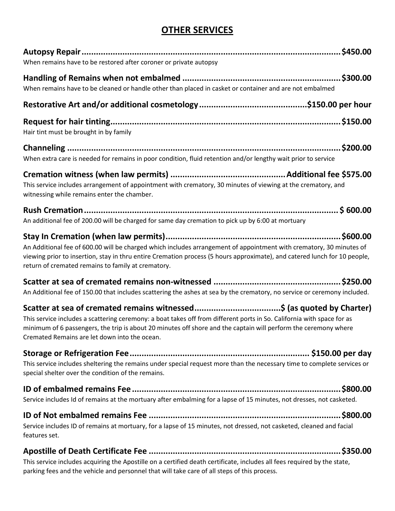# **OTHER SERVICES**

| When remains have to be restored after coroner or private autopsy                                                                                                                                                                                                                                      |
|--------------------------------------------------------------------------------------------------------------------------------------------------------------------------------------------------------------------------------------------------------------------------------------------------------|
| When remains have to be cleaned or handle other than placed in casket or container and are not embalmed                                                                                                                                                                                                |
|                                                                                                                                                                                                                                                                                                        |
| Hair tint must be brought in by family                                                                                                                                                                                                                                                                 |
|                                                                                                                                                                                                                                                                                                        |
| When extra care is needed for remains in poor condition, fluid retention and/or lengthy wait prior to service                                                                                                                                                                                          |
|                                                                                                                                                                                                                                                                                                        |
| This service includes arrangement of appointment with crematory, 30 minutes of viewing at the crematory, and<br>witnessing while remains enter the chamber.                                                                                                                                            |
|                                                                                                                                                                                                                                                                                                        |
| An additional fee of 200.00 will be charged for same day cremation to pick up by 6:00 at mortuary                                                                                                                                                                                                      |
| An Additional fee of 600.00 will be charged which includes arrangement of appointment with crematory, 30 minutes of<br>viewing prior to insertion, stay in thru entire Cremation process (5 hours approximate), and catered lunch for 10 people,<br>return of cremated remains to family at crematory. |
| An Additional fee of 150.00 that includes scattering the ashes at sea by the crematory, no service or ceremony included.                                                                                                                                                                               |
| This service includes a scattering ceremony: a boat takes off from different ports in So. California with space for as<br>minimum of 6 passengers, the trip is about 20 minutes off shore and the captain will perform the ceremony where<br>Cremated Remains are let down into the ocean.             |
| This service includes sheltering the remains under special request more than the necessary time to complete services or<br>special shelter over the condition of the remains.                                                                                                                          |
| Service includes Id of remains at the mortuary after embalming for a lapse of 15 minutes, not dresses, not casketed.                                                                                                                                                                                   |
| Service includes ID of remains at mortuary, for a lapse of 15 minutes, not dressed, not casketed, cleaned and facial<br>features set.                                                                                                                                                                  |
| \$350.00<br>This service includes acquiring the Apostille on a certified death certificate, includes all fees required by the state,                                                                                                                                                                   |

parking fees and the vehicle and personnel that will take care of all steps of this process.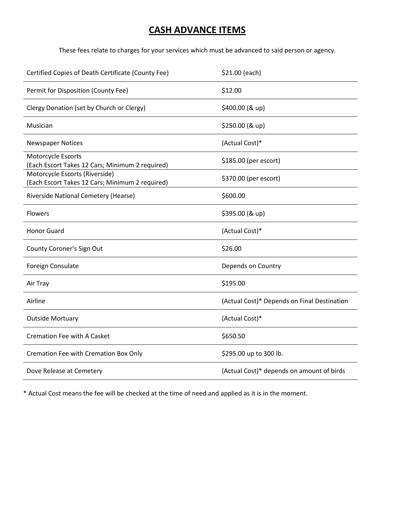# **CASH ADVANCE ITEMS**

These fees relate to charges for your services which must be advanced to said person or agency.

| Certified Copies of Death Certificate (County Fee)                                | \$21.00 (each)                              |
|-----------------------------------------------------------------------------------|---------------------------------------------|
| Permit for Disposition (County Fee)                                               | \$12.00                                     |
| Clergy Donation (set by Church or Clergy)                                         | \$400.00 (& up)                             |
| Musician                                                                          | \$250.00 (& up)                             |
| <b>Newspaper Notices</b>                                                          | (Actual Cost)*                              |
| Motorcycle Escorts<br>(Each Escort Takes 12 Cars; Minimum 2 required)             | \$185.00 (per escort)                       |
| Motorcycle Escorts (Riverside)<br>(Each Escort Takes 12 Cars; Minimum 2 required) | \$370.00 (per escort)                       |
| Riverside National Cemetery (Hearse)                                              | \$600.00                                    |
| <b>Flowers</b>                                                                    | \$395.00 (& up)                             |
| <b>Honor Guard</b>                                                                | (Actual Cost)*                              |
| County Coroner's Sign Out                                                         | \$26.00                                     |
| Foreign Consulate                                                                 | Depends on Country                          |
| Air Tray                                                                          | \$195.00                                    |
| Airline                                                                           | (Actual Cost)* Depends on Final Destination |
| <b>Outside Mortuary</b>                                                           | (Actual Cost)*                              |
| <b>Cremation Fee with A Casket</b>                                                | \$650.50                                    |
| Cremation Fee with Cremation Box Only                                             | \$295.00 up to 300 lb.                      |
| Dove Release at Cemetery                                                          | (Actual Cost)* depends on amount of birds   |

\* Actual Cost means the fee will be checked at the time of need and applied as it is in the moment.